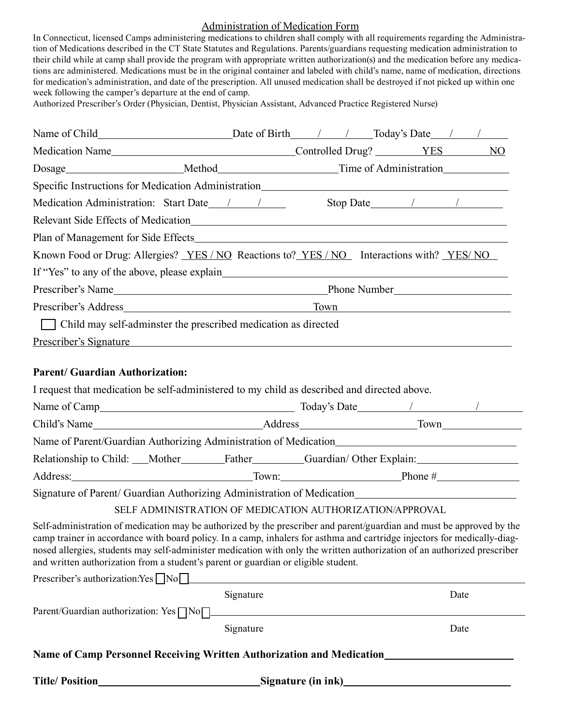#### Administration of Medication Form

In Connecticut, licensed Camps administering medications to children shall comply with all requirements regarding the Administration of Medications described in the CT State Statutes and Regulations. Parents/guardians requesting medication administration to their child while at camp shall provide the program with appropriate written authorization(s) and the medication before any medications are administered. Medications must be in the original container and labeled with child's name, name of medication, directions for medication's administration, and date of the prescription. All unused medication shall be destroyed if not picked up within one week following the camper's departure at the end of camp.

Authorized Prescriber's Order (Physician, Dentist, Physician Assistant, Advanced Practice Registered Nurse)

|                                        | Known Food or Drug: Allergies? <u>YES/NO</u> Reactions to? YES/NO Interactions with? YES/NO                                                                                                                                                                                                                                                                                                                                                                         |  |  |      |  |
|----------------------------------------|---------------------------------------------------------------------------------------------------------------------------------------------------------------------------------------------------------------------------------------------------------------------------------------------------------------------------------------------------------------------------------------------------------------------------------------------------------------------|--|--|------|--|
|                                        |                                                                                                                                                                                                                                                                                                                                                                                                                                                                     |  |  |      |  |
|                                        |                                                                                                                                                                                                                                                                                                                                                                                                                                                                     |  |  |      |  |
|                                        |                                                                                                                                                                                                                                                                                                                                                                                                                                                                     |  |  |      |  |
|                                        | Child may self-adminster the prescribed medication as directed                                                                                                                                                                                                                                                                                                                                                                                                      |  |  |      |  |
|                                        | Prescriber's Signature et al. and the set of the set of the set of the set of the set of the set of the set of the set of the set of the set of the set of the set of the set of the set of the set of the set of the set of t                                                                                                                                                                                                                                      |  |  |      |  |
|                                        |                                                                                                                                                                                                                                                                                                                                                                                                                                                                     |  |  |      |  |
| <b>Parent/ Guardian Authorization:</b> |                                                                                                                                                                                                                                                                                                                                                                                                                                                                     |  |  |      |  |
|                                        | I request that medication be self-administered to my child as described and directed above.                                                                                                                                                                                                                                                                                                                                                                         |  |  |      |  |
|                                        |                                                                                                                                                                                                                                                                                                                                                                                                                                                                     |  |  |      |  |
|                                        |                                                                                                                                                                                                                                                                                                                                                                                                                                                                     |  |  |      |  |
|                                        |                                                                                                                                                                                                                                                                                                                                                                                                                                                                     |  |  |      |  |
|                                        | Relationship to Child: __Mother__________Father__________Guardian/Other Explain: __________________                                                                                                                                                                                                                                                                                                                                                                 |  |  |      |  |
|                                        |                                                                                                                                                                                                                                                                                                                                                                                                                                                                     |  |  |      |  |
|                                        | Signature of Parent/ Guardian Authorizing Administration of Medication                                                                                                                                                                                                                                                                                                                                                                                              |  |  |      |  |
|                                        | SELF ADMINISTRATION OF MEDICATION AUTHORIZATION/APPROVAL                                                                                                                                                                                                                                                                                                                                                                                                            |  |  |      |  |
|                                        | Self-administration of medication may be authorized by the prescriber and parent/guardian and must be approved by the<br>camp trainer in accordance with board policy. In a camp, inhalers for asthma and cartridge injectors for medically-diag-<br>nosed allergies, students may self-administer medication with only the written authorization of an authorized prescriber<br>and written authorization from a student's parent or guardian or eligible student. |  |  |      |  |
|                                        | Signature                                                                                                                                                                                                                                                                                                                                                                                                                                                           |  |  | Date |  |
|                                        | Parent/Guardian authorization: Yes Non                                                                                                                                                                                                                                                                                                                                                                                                                              |  |  |      |  |
|                                        | Signature                                                                                                                                                                                                                                                                                                                                                                                                                                                           |  |  | Date |  |
|                                        | Name of Camp Personnel Receiving Written Authorization and Medication_______________________________                                                                                                                                                                                                                                                                                                                                                                |  |  |      |  |
|                                        |                                                                                                                                                                                                                                                                                                                                                                                                                                                                     |  |  |      |  |
|                                        |                                                                                                                                                                                                                                                                                                                                                                                                                                                                     |  |  |      |  |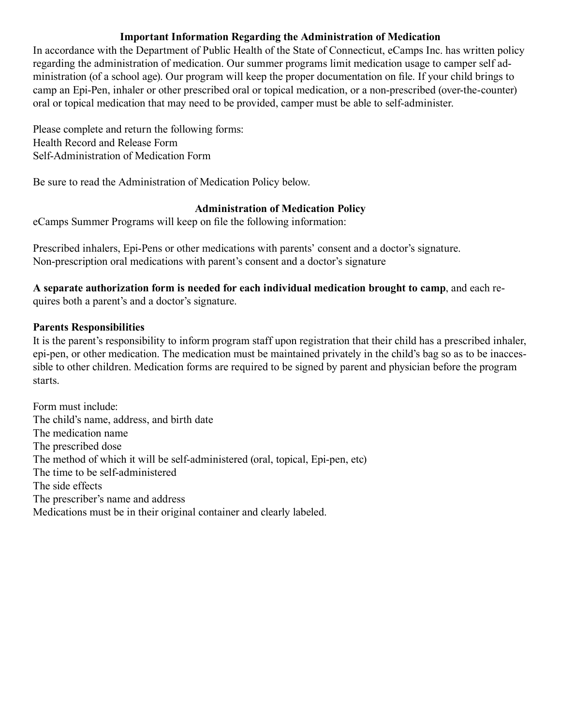## **Important Information Regarding the Administration of Medication**

In accordance with the Department of Public Health of the State of Connecticut, eCamps Inc. has written policy regarding the administration of medication. Our summer programs limit medication usage to camper self administration (of a school age). Our program will keep the proper documentation on file. If your child brings to camp an Epi-Pen, inhaler or other prescribed oral or topical medication, or a non-prescribed (over-the-counter) oral or topical medication that may need to be provided, camper must be able to self-administer.

Please complete and return the following forms: Health Record and Release Form Self-Administration of Medication Form

Be sure to read the Administration of Medication Policy below.

# **Administration of Medication Policy**

eCamps Summer Programs will keep on file the following information:

Prescribed inhalers, Epi-Pens or other medications with parents' consent and a doctor's signature. Non-prescription oral medications with parent's consent and a doctor's signature

**A separate authorization form is needed for each individual medication brought to camp**, and each requires both a parent's and a doctor's signature.

## **Parents Responsibilities**

It is the parent's responsibility to inform program staff upon registration that their child has a prescribed inhaler, epi-pen, or other medication. The medication must be maintained privately in the child's bag so as to be inaccessible to other children. Medication forms are required to be signed by parent and physician before the program starts.

Form must include: The child's name, address, and birth date The medication name The prescribed dose The method of which it will be self-administered (oral, topical, Epi-pen, etc) The time to be self-administered The side effects The prescriber's name and address Medications must be in their original container and clearly labeled.